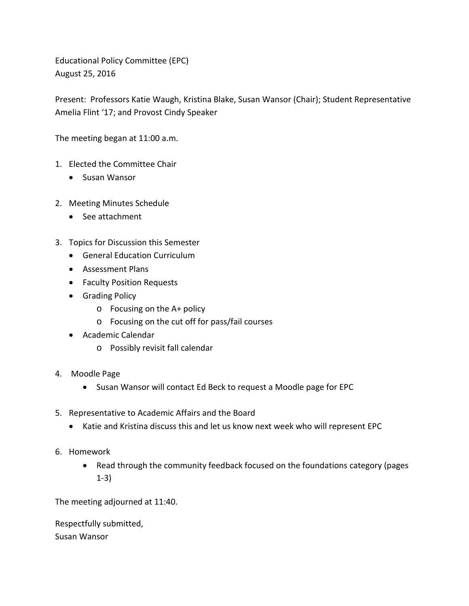Educational Policy Committee (EPC) August 25, 2016

Present: Professors Katie Waugh, Kristina Blake, Susan Wansor (Chair); Student Representative Amelia Flint '17; and Provost Cindy Speaker

The meeting began at 11:00 a.m.

- 1. Elected the Committee Chair
	- Susan Wansor
- 2. Meeting Minutes Schedule
	- See attachment
- 3. Topics for Discussion this Semester
	- General Education Curriculum
	- Assessment Plans
	- Faculty Position Requests
	- Grading Policy
		- o Focusing on the A+ policy
		- o Focusing on the cut off for pass/fail courses
	- Academic Calendar
		- o Possibly revisit fall calendar
- 4. Moodle Page
	- Susan Wansor will contact Ed Beck to request a Moodle page for EPC
- 5. Representative to Academic Affairs and the Board
	- Katie and Kristina discuss this and let us know next week who will represent EPC
- 6. Homework
	- Read through the community feedback focused on the foundations category (pages 1-3)

The meeting adjourned at 11:40.

Respectfully submitted, Susan Wansor